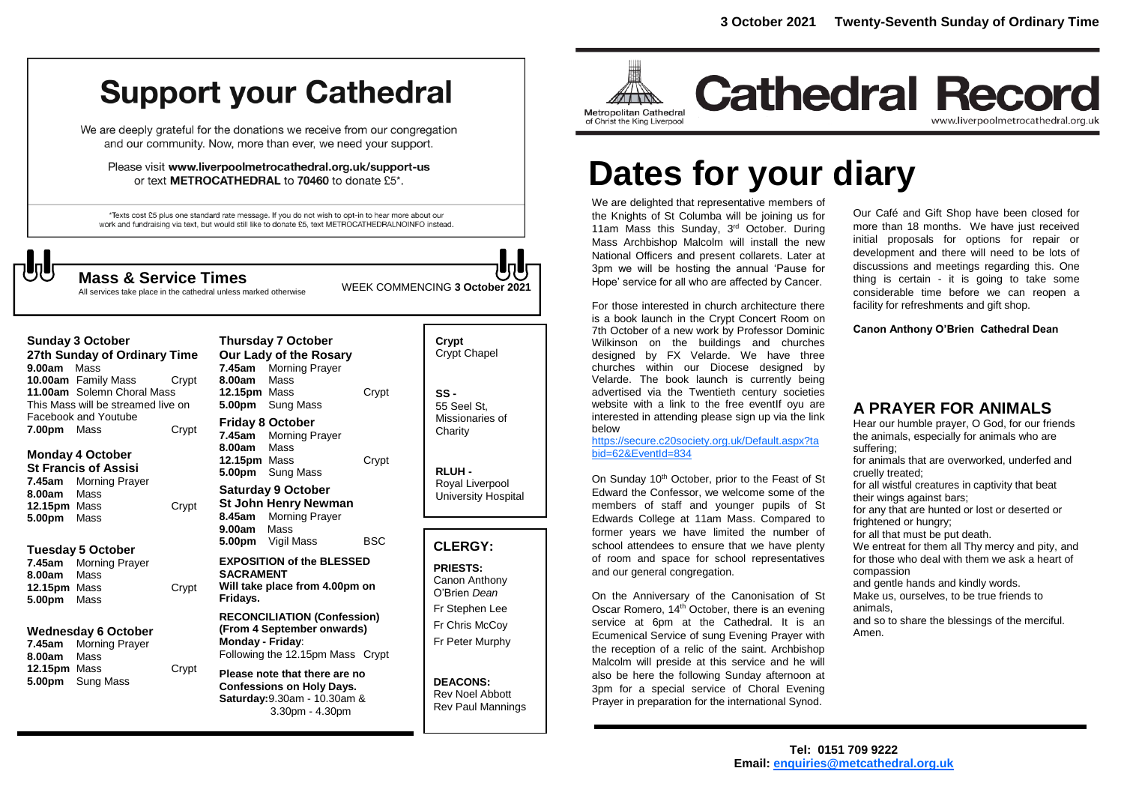# **Support your Cathedral**

We are deeply grateful for the donations we receive from our congregation and our community. Now, more than ever, we need your support.

Please visit www.liverpoolmetrocathedral.org.uk/support-us or text METROCATHEDRAL to 70460 to donate £5\*.

\*Texts cost £5 plus one standard rate message. If you do not wish to opt-in to hear more about our work and fundraising via text, but would still like to donate £5, text METROCATHEDRALNOINFO instead.

All services take place in the cathedral unless marked otherwise

WEEK COMMENCING **3 October <sup>2021</sup> Mass & Service Times**

**Sunday 3 October 27th Sunday of Ordinary Time 9.00am** Mass **10.00am** Family Mass Crypt **11.00am** Solemn Choral Mass This Mass will be streamed live on Facebook and Youtube **7.00pm** Mass Crypt

#### **Monday 4 October St Francis of Assisi**

**7.45am** Morning Prayer **8.00am** Mass **12.15pm** Mass Crypt **5.00pm** Mass

### **Tuesday 5 October**

**7.45am** Morning Prayer **8.00am** Mass **12.15pm** Mass Crypt **5.00pm** Mass

#### **Wednesday 6 October**

**7.45am** Morning Prayer **8.00am** Mass **12.15pm** Mass Crypt **5.00pm** Sung Mass

| <b>Thursday 7 October</b> |                       |       |  |
|---------------------------|-----------------------|-------|--|
| Our Lady of the Rosary    |                       |       |  |
|                           | 7.45am Morning Prayer |       |  |
| 8.00am Mass               |                       |       |  |
| 12.15pm Mass              |                       | Crypt |  |
|                           | 5.00pm Sung Mass      |       |  |
| Friday 8 October          |                       |       |  |
|                           | 7.45am Morning Prayer |       |  |
| 8.00am Mass               |                       |       |  |
| <b>12.15pm</b> Mass       |                       | Crypt |  |
|                           | 5.00pm Sung Mass      |       |  |
| <b>Saturday 9 October</b> |                       |       |  |
|                           | St John Henry Newman  |       |  |
|                           | 8.45am Morning Prayer |       |  |

**9.00am** Mass **5.00pm** Vigil Mass BSC **EXPOSITION of the BLESSED** 

**SACRAMENT Will take place from 4.00pm on Fridays.**

#### **RECONCILIATION (Confession) (From 4 September onwards) Monday - Friday**: Following the 12.15pm Mass Crypt

**Please note that there are no Confessions on Holy Days. Saturday:**9.30am - 10.30am & 3.30pm - 4.30pm

| Crypt<br><b>Crypt Chapel</b>                      |  |
|---------------------------------------------------|--|
| SS -<br>55 Seel St.<br>Missionaries of<br>Charity |  |

**RLUH -** Royal Liverpool University Hospital

### **CLERGY:**

**PRIESTS:** Canon Anthony O'Brien *Dean* Fr Stephen Lee Fr Chris McCoy Fr Peter Murphy

**DEACONS:** Rev Noel Abbott Rev Paul Mannings



## **Cathedral Record** www.liverpoolmetrocathedral.org.uk

# **Dates for your diary**

We are delighted that representative members of the Knights of St Columba will be joining us for 11am Mass this Sunday, 3<sup>rd</sup> October. During Mass Archbishop Malcolm will install the new National Officers and present collarets. Later at 3pm we will be hosting the annual 'Pause for Hope' service for all who are affected by Cancer.

For those interested in church architecture there is a book launch in the Crypt Concert Room on 7th October of a new work by Professor Dominic Wilkinson on the buildings and churches designed by FX Velarde. We have three churches within our Diocese designed by Velarde. The book launch is currently being advertised via the Twentieth century societies website with a link to the free eventif ovu are interested in attending please sign up via the link below For those interested in church architecture there is a book launch in the Crypt Concert Room of  $7th$  Cother of a neuver level by Prefeceer Deminited

[https://secure.c20society.org.uk/Default.aspx?ta](https://secure.c20society.org.uk/Default.aspx?tabid=62&EventId=834) [bid=62&EventId=834](https://secure.c20society.org.uk/Default.aspx?tabid=62&EventId=834)

On Sunday 10<sup>th</sup> October, prior to the Feast of St Edward the Confessor, we welcome some of the members of staff and younger pupils of St Edwards College at 11am Mass. Compared to former years we have limited the number of school attendees to ensure that we have plenty of room and space for school representatives and our general congregation.

On the Anniversary of the Canonisation of St Oscar Romero,  $14<sup>th</sup>$  October, there is an evening service at 6pm at the Cathedral. It is an Ecumenical Service of sung Evening Prayer with the reception of a relic of the saint. Archbishop Malcolm will preside at this service and he will also be here the following Sunday afternoon at 3pm for a special service of Choral Evening Prayer in preparation for the international Synod.

Our Café and Gift Shop have been closed for more than 18 months. We have just received initial proposals for options for repair or development and there will need to be lots of discussions and meetings regarding this. One thing is certain - it is going to take some considerable time before we can reopen a facility for refreshments and gift shop.

**Canon Anthony O'Brien Cathedral Dean**

## **A PRAYER FOR ANIMALS**

Hear our humble prayer, O God, for our friends the animals, especially for animals who are suffering; for animals that are overworked, underfed and cruelly treated; for all wistful creatures in captivity that beat their wings against bars; for any that are hunted or lost or deserted or frightened or hungry; for all that must be put death. We entreat for them all Thy mercy and pity, and for those who deal with them we ask a heart of compassion and gentle hands and kindly words. Make us, ourselves, to be true friends to animals, and so to share the blessings of the merciful. Amen.